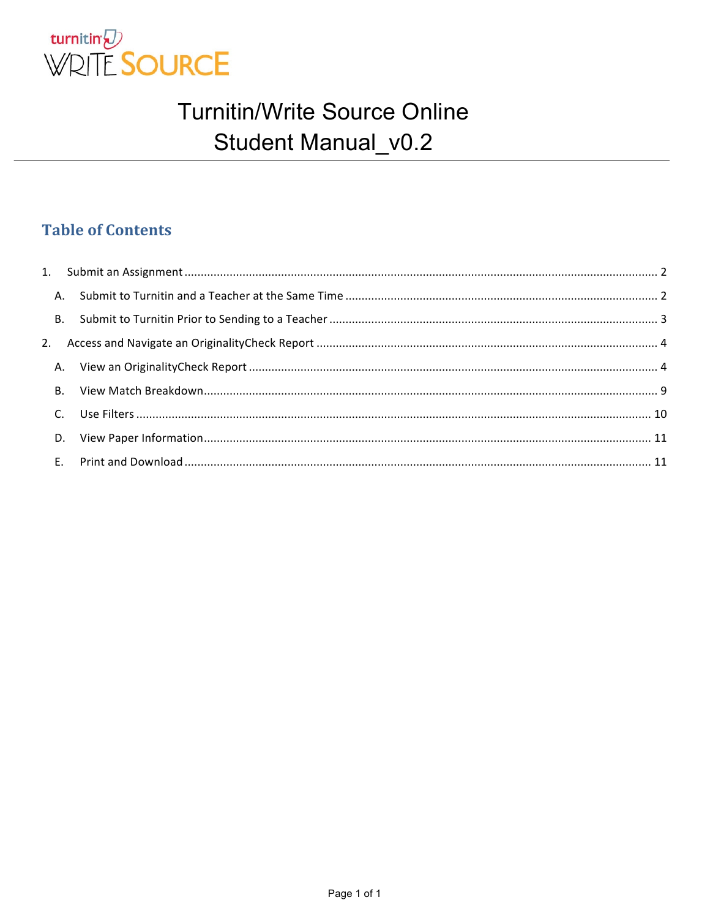

#### **Table of Contents**

| $C_{\cdot}$ |  |
|-------------|--|
|             |  |
|             |  |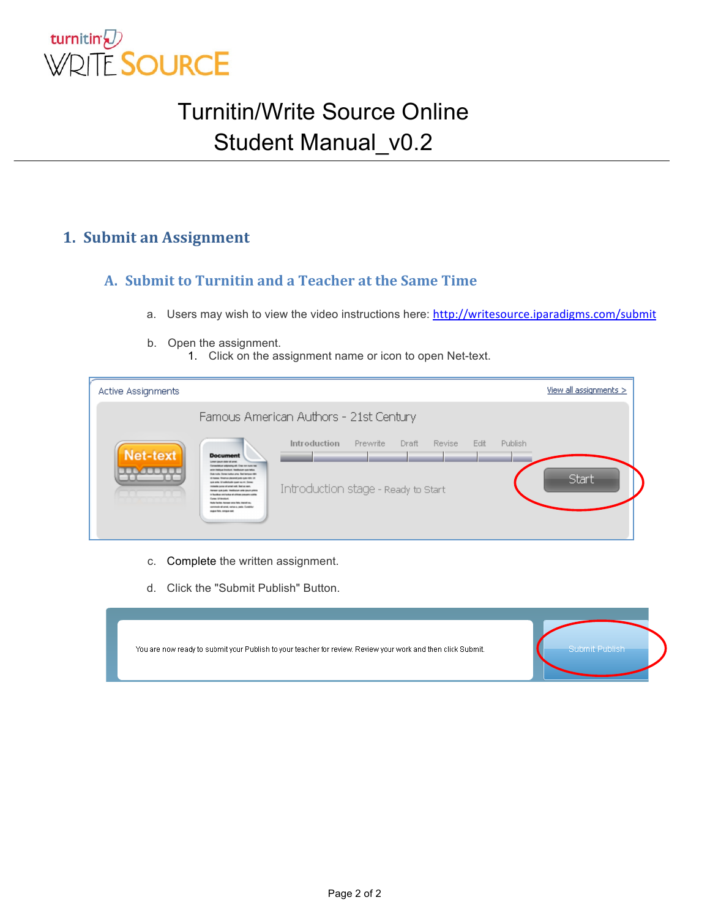

#### **1. Submit an Assignment**

#### **A.** Submit to Turnitin and a Teacher at the Same Time

- a. Users may wish to view the video instructions here: http://writesource.iparadigms.com/submit
- b. Open the assignment.
	- 1. Click on the assignment name or icon to open Net-text.

| <b>Active Assignments</b>                                                                                                                                                                                                                                                                                                                                                                                                                                                                                                                                                                                                                                                      |                                                                                                  | View all assignments $>$        |
|--------------------------------------------------------------------------------------------------------------------------------------------------------------------------------------------------------------------------------------------------------------------------------------------------------------------------------------------------------------------------------------------------------------------------------------------------------------------------------------------------------------------------------------------------------------------------------------------------------------------------------------------------------------------------------|--------------------------------------------------------------------------------------------------|---------------------------------|
|                                                                                                                                                                                                                                                                                                                                                                                                                                                                                                                                                                                                                                                                                | Famous American Authors - 21st Century                                                           |                                 |
| <b>Net-text</b><br><b>Document</b><br>Lensey Senator Andre of senato<br>Consentation selected prefit. Crew non-none has<br>arter institute finality/6. Healthclum cuts leftus.<br>Sub-hole Doner today arts. But betters rike<br>al massas. Musamus placemet justice quie milito. Un<br>puts artis. Lif scalinthalin quant aprils. Daniel<br>colonial pursue all artest cold. Busines com-<br>Agreem quick points. Triandfoot yet antie concern primos<br>In Boothus, and bothus at of them assures outside<br><b>Current L&amp; Hondalum</b><br><b>Bully facility, Assessed and Mrk. Standfridge</b><br>someonic all areal, varius a, pade. Curatrike<br>experters, comparent | Introduction<br><b>Revise</b><br><b>Prewrite</b><br>Draft<br>Introduction stage - Ready to Start | Publish<br>Edit<br><b>Start</b> |

- c. Complete the written assignment.
- d. Click the "Submit Publish" Button.

| You are now ready to submit your Publish to your teacher for review. Review your work and then click Submit. | Submit Publish |
|--------------------------------------------------------------------------------------------------------------|----------------|
|                                                                                                              |                |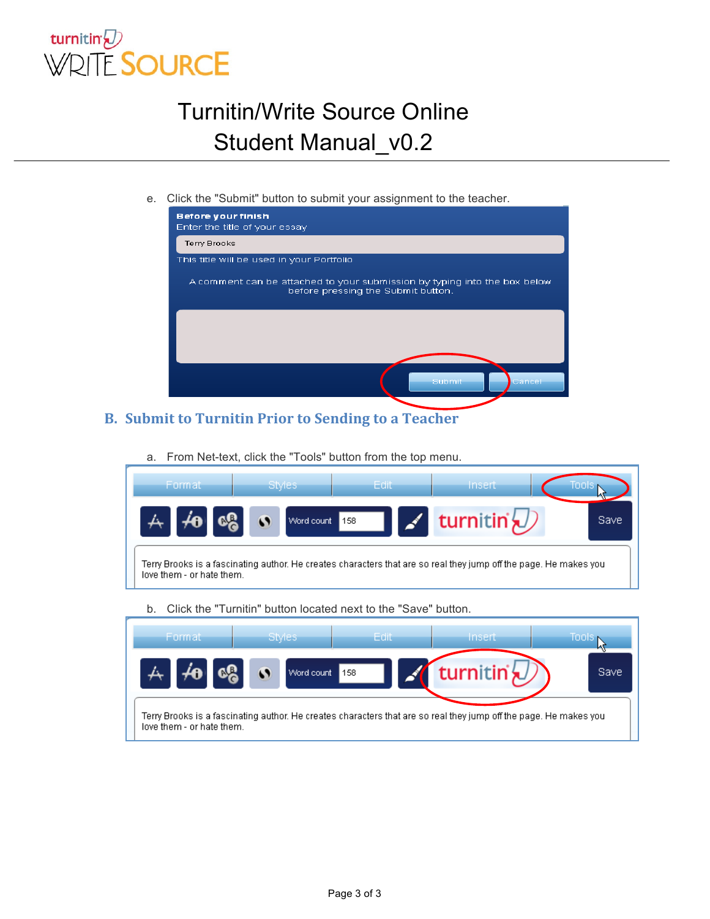

e. Click the "Submit" button to submit your assignment to the teacher.

| <b>Before your finish</b><br>Enter the title of your essay                                                      |
|-----------------------------------------------------------------------------------------------------------------|
| <b>Terry Brooks</b>                                                                                             |
| This title will be used in your Portfolio                                                                       |
| A comment can be attached to your submission by typing into the box below<br>before pressing the Submit button. |
|                                                                                                                 |
|                                                                                                                 |
|                                                                                                                 |
| Submit<br>Cancel                                                                                                |

#### **B.** Submit to Turnitin Prior to Sending to a Teacher

a. From Net-text, click the "Tools" button from the top menu.

| Format                                                                                                                                         | Styles     | Edit | Insert                 |             |
|------------------------------------------------------------------------------------------------------------------------------------------------|------------|------|------------------------|-------------|
|                                                                                                                                                | Word count | 158  | turnitin' $\downarrow$ | <b>Save</b> |
| Terry Brooks is a fascinating author. He creates characters that are so real they jump off the page. He makes you<br>love them - or hate them. |            |      |                        |             |

b. Click the "Turnitin" button located next to the "Save" button.

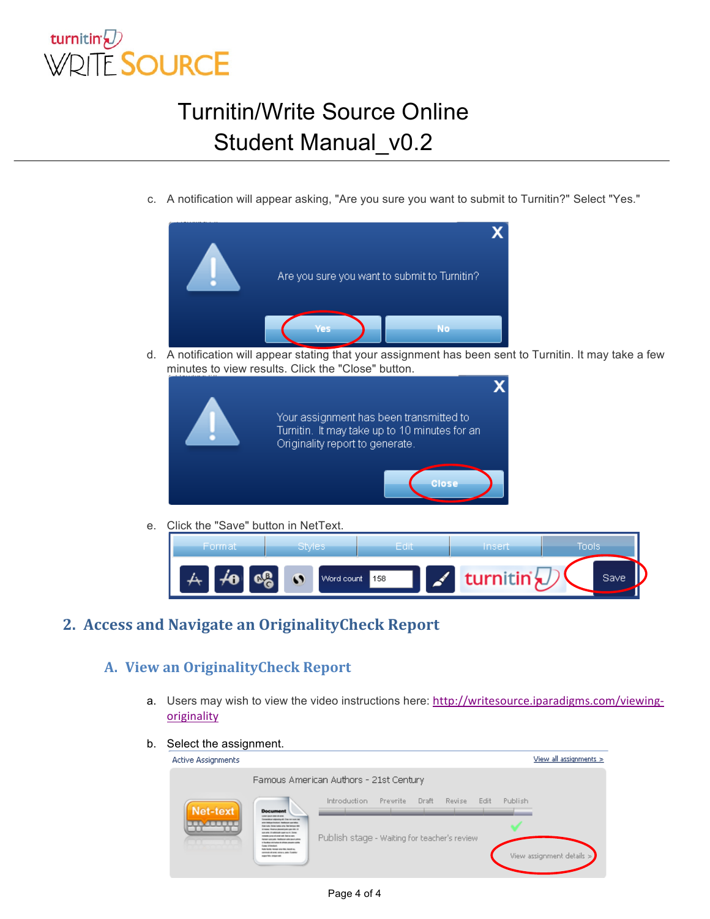

c. A notification will appear asking, "Are you sure you want to submit to Turnitin?" Select "Yes."



d. A notification will appear stating that your assignment has been sent to Turnitin. It may take a few minutes to view results. Click the "Close" button.



e. Click the "Save" button in NetText.



**2. Access and Navigate an OriginalityCheck Report** 

#### **A. View an OriginalityCheck Report**

- a. Users may wish to view the video instructions here: http://writesource.iparadigms.com/viewingoriginality
- b. Select the assignment.

| Famous American Authors - 21st Century                                                                                                                                                                                                                                                                                                                                                                                                                                                                                                                                                  |                                                                                                                |                             |
|-----------------------------------------------------------------------------------------------------------------------------------------------------------------------------------------------------------------------------------------------------------------------------------------------------------------------------------------------------------------------------------------------------------------------------------------------------------------------------------------------------------------------------------------------------------------------------------------|----------------------------------------------------------------------------------------------------------------|-----------------------------|
| <b>Net-text</b><br><b>Document</b><br><b>CAR CARD AREA OF ALL</b><br><b>American photograph</b> (free not not belt<br>area instrumentation. Institution can later<br><b>Business Services and Services are</b><br>Kingsa Warran Monthland sale die Ja-<br>an els il solution per a re fore-<br><b>Back and all and off fisher and</b><br><b>Arrest side both Technical critic pack price</b><br>I facilitat contactor di chines con una sub-<br><b>Long of Anniver</b><br>hally facility. Ancient area 'Milk Stand on.<br>service all and, ranges age, fundity<br>make falls design and | Introduction<br>Revise<br>Publish<br>Prewrite<br>Draft<br>Edit<br>Publish stage - Waiting for teacher's review | View assignment details $>$ |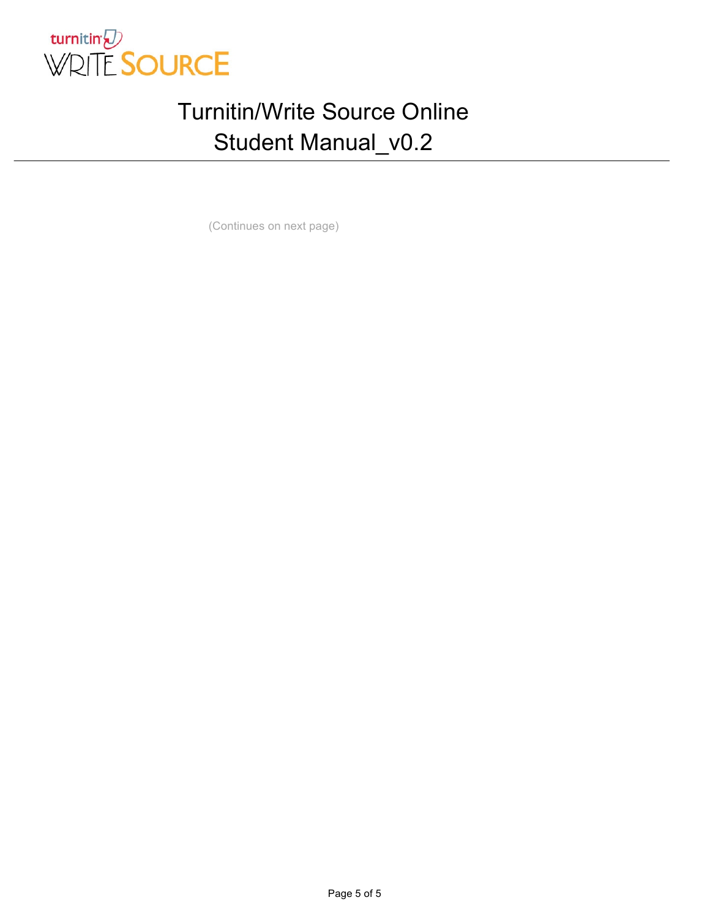

(Continues on next page)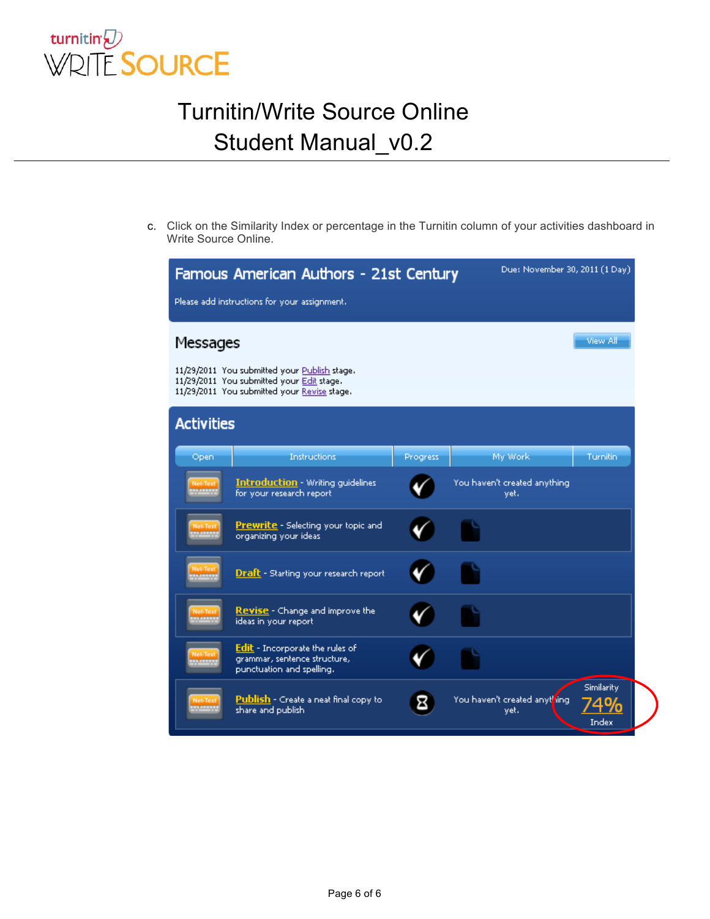

c. Click on the Similarity Index or percentage in the Turnitin column of your activities dashboard in Write Source Online.

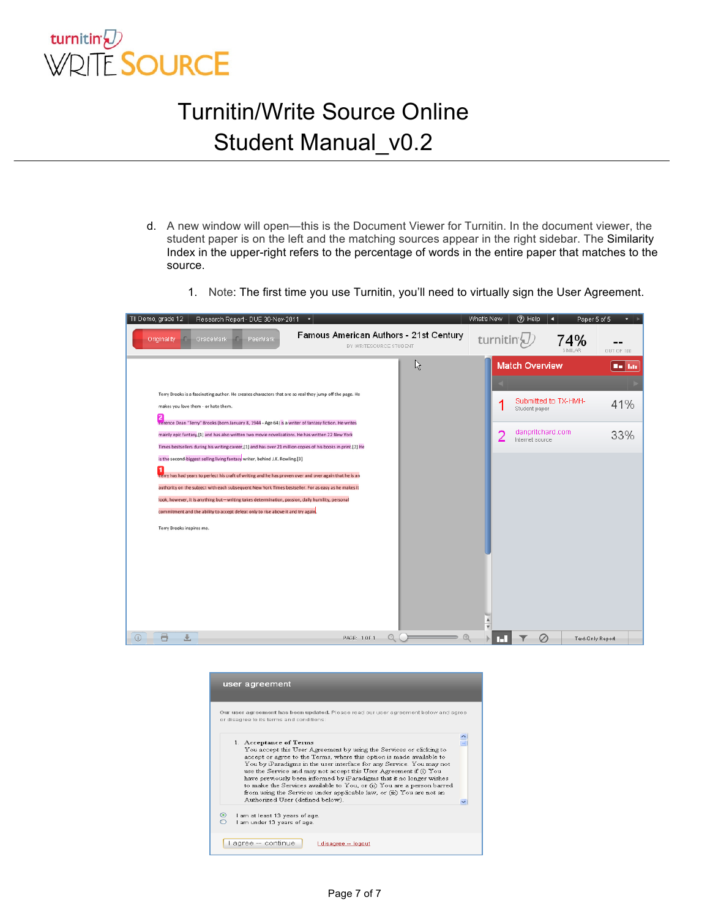

- d. A new window will open—this is the Document Viewer for Turnitin. In the document viewer, the student paper is on the left and the matching sources appear in the right sidebar. The Similarity Index in the upper-right refers to the percentage of words in the entire paper that matches to the source.
	- 1. Note: The first time you use Turnitin, you'll need to virtually sign the User Agreement.



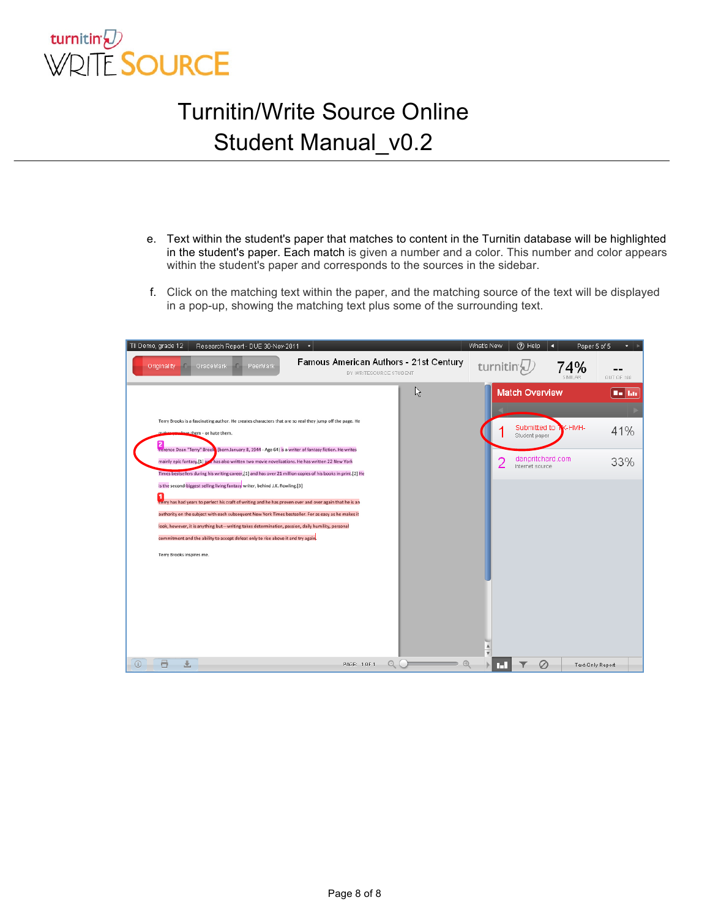

- e. Text within the student's paper that matches to content in the Turnitin database will be highlighted in the student's paper. Each match is given a number and a color. This number and color appears within the student's paper and corresponds to the sources in the sidebar.
- f. Click on the matching text within the paper, and the matching source of the text will be displayed in a pop-up, showing the matching text plus some of the surrounding text.

| TII Demo, grade 12<br>Research Report - DUE 30-Nov-2011                                                                                                                                                                                                                                                                                                                                                                                                                                                                                                                                                                                                                                                                                                                                                                                                                                                                                                                                                |                                                                  |   | What's New     | (?) Help                                                                                      | Paper 5 of 5<br>n | $\cdot$ $\cdot$             |
|--------------------------------------------------------------------------------------------------------------------------------------------------------------------------------------------------------------------------------------------------------------------------------------------------------------------------------------------------------------------------------------------------------------------------------------------------------------------------------------------------------------------------------------------------------------------------------------------------------------------------------------------------------------------------------------------------------------------------------------------------------------------------------------------------------------------------------------------------------------------------------------------------------------------------------------------------------------------------------------------------------|------------------------------------------------------------------|---|----------------|-----------------------------------------------------------------------------------------------|-------------------|-----------------------------|
| Originality<br>GradeMark<br>PeerMark                                                                                                                                                                                                                                                                                                                                                                                                                                                                                                                                                                                                                                                                                                                                                                                                                                                                                                                                                                   | Famous American Authors - 21st Century<br>BY WRITESOURCE STUDENT |   | turnitin       |                                                                                               | 74%               | OUT OF 100                  |
| Terry Brooks is a fascinating author. He creates characters that are so real they jump off the page. He<br>makes you love them - or hate them.<br>Terence Dean "Terry" Brook (born January 8, 1944 - Age 64) is a writer of fantasy fiction. He writes<br>mainly epic fantasy,[1] as has also written two movie novelizations. He has written 22 New York<br>Times bestsellers during his writing career, [1] and has over 21 million copies of his books in print. [2] He<br>is the second-biggest selling living fantasy writer, behind J.K. Rowling.[3]<br>1<br>Terry has had years to perfect his craft of writing and he has proven over and over again that he is an<br>authority on the subject with each subsequent New York Times bestseller. For as easy as he makes it<br>look, however, it is anything but-writing takes determination, passion, daily humility, personal<br>commitment and the ability to accept defeat only to rise above it and try again.<br>Terry Brooks inspires me. |                                                                  | ド | $\overline{2}$ | <b>Match Overview</b><br>Submitted to<br>Student paper<br>danpritchard.com<br>Internet source | K-HMH-            | <b>Bo Bar</b><br>41%<br>33% |
| 員<br>$\odot$<br>圡                                                                                                                                                                                                                                                                                                                                                                                                                                                                                                                                                                                                                                                                                                                                                                                                                                                                                                                                                                                      | PAGE: 1 OF 1                                                     | Θ | m              |                                                                                               | Ø                 | Text-Only Report            |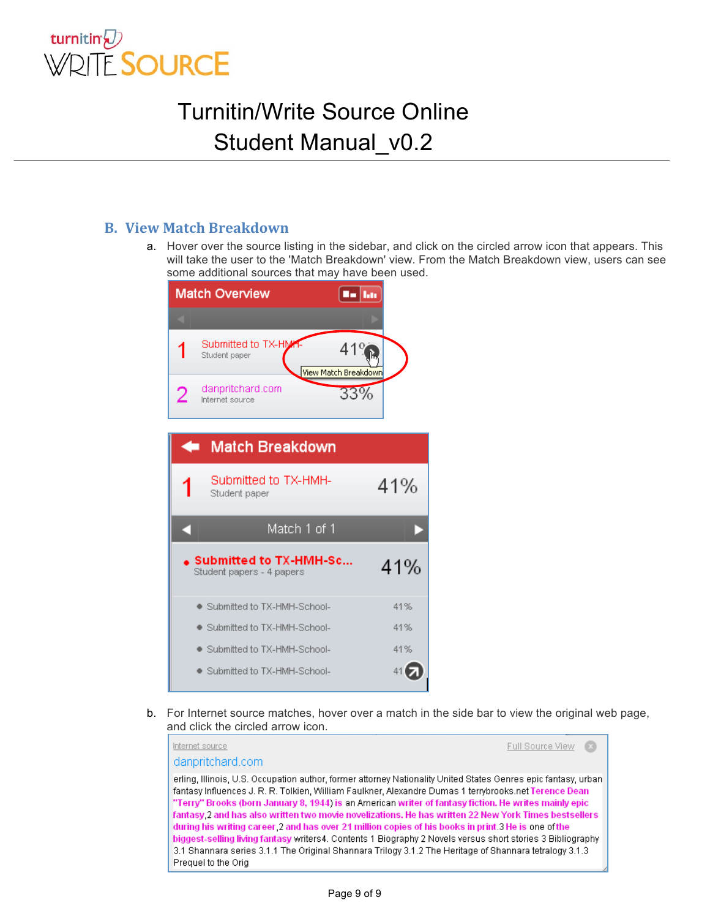

#### **B. View Match Breakdown**

a. Hover over the source listing in the sidebar, and click on the circled arrow icon that appears. This will take the user to the 'Match Breakdown' view. From the Match Breakdown view, users can see some additional sources that may have been used.



b. For Internet source matches, hover over a match in the side bar to view the original web page, and click the circled arrow icon.

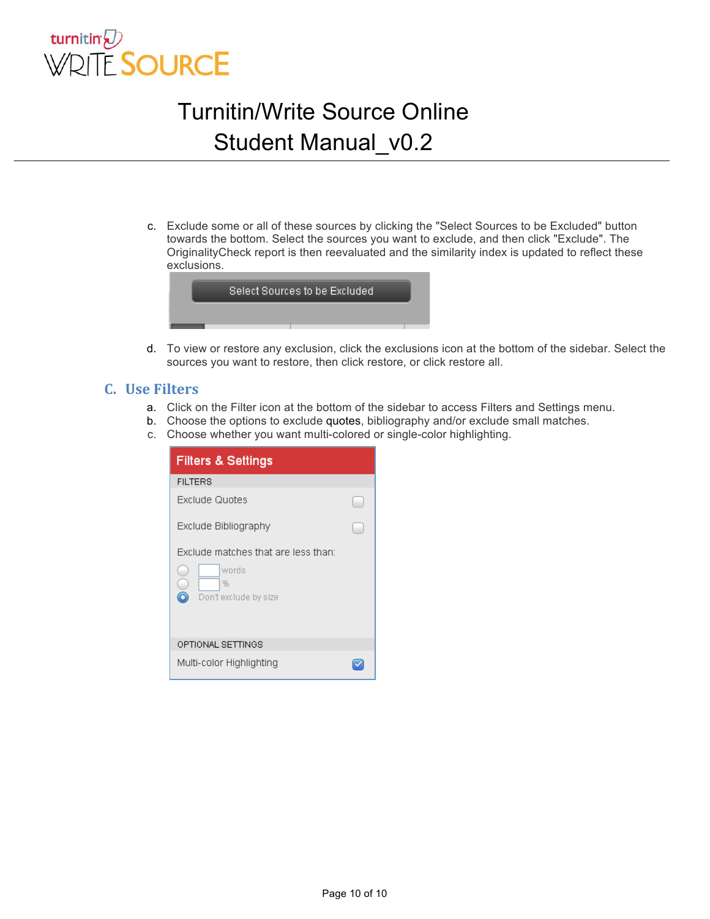

c. Exclude some or all of these sources by clicking the "Select Sources to be Excluded" button towards the bottom. Select the sources you want to exclude, and then click "Exclude". The OriginalityCheck report is then reevaluated and the similarity index is updated to reflect these exclusions.



d. To view or restore any exclusion, click the exclusions icon at the bottom of the sidebar. Select the sources you want to restore, then click restore, or click restore all.

#### **C. Use&Filters**

- a. Click on the Filter icon at the bottom of the sidebar to access Filters and Settings menu.
- b. Choose the options to exclude quotes, bibliography and/or exclude small matches.
- c. Choose whether you want multi-colored or single-color highlighting.

| <b>Filters &amp; Settings</b>            |  |  |  |  |  |  |
|------------------------------------------|--|--|--|--|--|--|
| <b>FILTERS</b>                           |  |  |  |  |  |  |
| Exclude Quotes                           |  |  |  |  |  |  |
| Exclude Bibliography                     |  |  |  |  |  |  |
| Exclude matches that are less than:      |  |  |  |  |  |  |
| words<br>%<br>a<br>Don't exclude by size |  |  |  |  |  |  |
| OPTIONAL SETTINGS                        |  |  |  |  |  |  |
| Multi-color Highlighting                 |  |  |  |  |  |  |